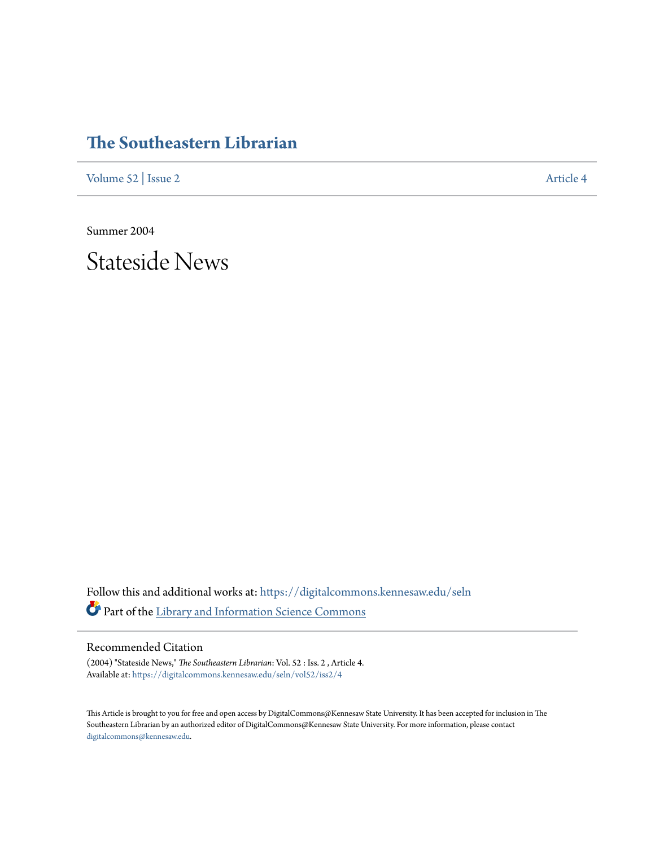# **[The Southeastern Librarian](https://digitalcommons.kennesaw.edu/seln?utm_source=digitalcommons.kennesaw.edu%2Fseln%2Fvol52%2Fiss2%2F4&utm_medium=PDF&utm_campaign=PDFCoverPages)**

[Volume 52](https://digitalcommons.kennesaw.edu/seln/vol52?utm_source=digitalcommons.kennesaw.edu%2Fseln%2Fvol52%2Fiss2%2F4&utm_medium=PDF&utm_campaign=PDFCoverPages) | [Issue 2](https://digitalcommons.kennesaw.edu/seln/vol52/iss2?utm_source=digitalcommons.kennesaw.edu%2Fseln%2Fvol52%2Fiss2%2F4&utm_medium=PDF&utm_campaign=PDFCoverPages) [Article 4](https://digitalcommons.kennesaw.edu/seln/vol52/iss2/4?utm_source=digitalcommons.kennesaw.edu%2Fseln%2Fvol52%2Fiss2%2F4&utm_medium=PDF&utm_campaign=PDFCoverPages)

Summer 2004

Stateside News

Follow this and additional works at: [https://digitalcommons.kennesaw.edu/seln](https://digitalcommons.kennesaw.edu/seln?utm_source=digitalcommons.kennesaw.edu%2Fseln%2Fvol52%2Fiss2%2F4&utm_medium=PDF&utm_campaign=PDFCoverPages) Part of the [Library and Information Science Commons](http://network.bepress.com/hgg/discipline/1018?utm_source=digitalcommons.kennesaw.edu%2Fseln%2Fvol52%2Fiss2%2F4&utm_medium=PDF&utm_campaign=PDFCoverPages)

### Recommended Citation

(2004) "Stateside News," *The Southeastern Librarian*: Vol. 52 : Iss. 2 , Article 4. Available at: [https://digitalcommons.kennesaw.edu/seln/vol52/iss2/4](https://digitalcommons.kennesaw.edu/seln/vol52/iss2/4?utm_source=digitalcommons.kennesaw.edu%2Fseln%2Fvol52%2Fiss2%2F4&utm_medium=PDF&utm_campaign=PDFCoverPages)

This Article is brought to you for free and open access by DigitalCommons@Kennesaw State University. It has been accepted for inclusion in The Southeastern Librarian by an authorized editor of DigitalCommons@Kennesaw State University. For more information, please contact [digitalcommons@kennesaw.edu.](mailto:digitalcommons@kennesaw.edu)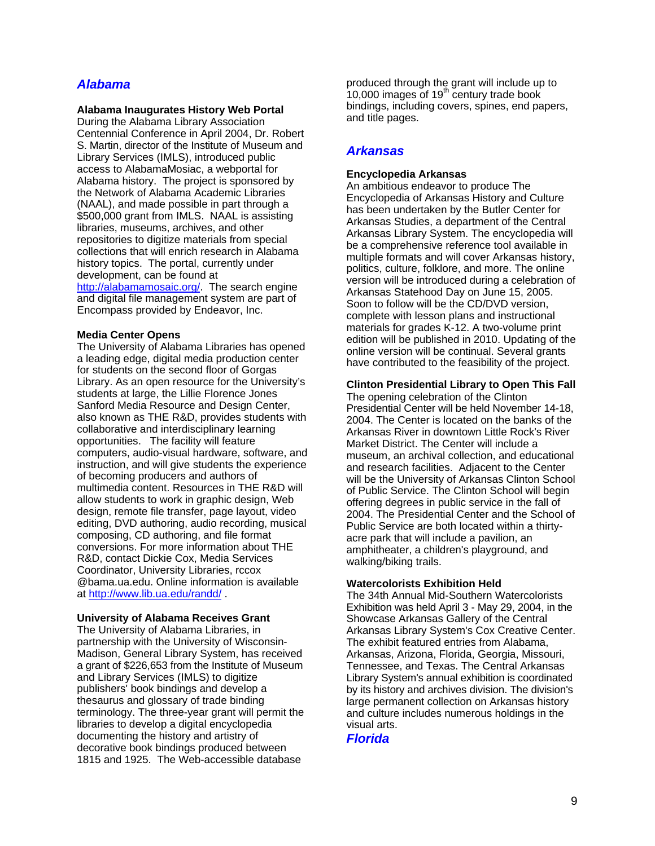# *Alabama*

#### **Alabama Inaugurates History Web Portal**

During the Alabama Library Association Centennial Conference in April 2004, Dr. Robert S. Martin, director of the Institute of Museum and Library Services (IMLS), introduced public access to AlabamaMosiac, a webportal for Alabama history. The project is sponsored by the Network of Alabama Academic Libraries (NAAL), and made possible in part through a \$500,000 grant from IMLS. NAAL is assisting libraries, museums, archives, and other repositories to digitize materials from special collections that will enrich research in Alabama history topics. The portal, currently under development, can be found at <http://alabamamosaic.org/>. The search engine

and digital file management system are part of Encompass provided by Endeavor, Inc.

#### **Media Center Opens**

The University of Alabama Libraries has opened a leading edge, digital media production center for students on the second floor of Gorgas Library. As an open resource for the University's students at large, the Lillie Florence Jones Sanford Media Resource and Design Center, also known as THE R&D, provides students with collaborative and interdisciplinary learning opportunities. The facility will feature computers, audio-visual hardware, software, and instruction, and will give students the experience of becoming producers and authors of multimedia content. Resources in THE R&D will allow students to work in graphic design, Web design, remote file transfer, page layout, video editing, DVD authoring, audio recording, musical composing, CD authoring, and file format conversions. For more information about THE R&D, contact Dickie Cox, Media Services Coordinator, University Libraries, rccox @bama.ua.edu. Online information is available at http://www.lib.ua.edu/randd/

#### **University of Alabama Receives Grant**

The University of Alabama Libraries, in partnership with the University of Wisconsin-Madison, General Library System, has received a grant of \$226,653 from the Institute of Museum and Library Services (IMLS) to digitize publishers' book bindings and develop a thesaurus and glossary of trade binding terminology. The three-year grant will permit the libraries to develop a digital encyclopedia documenting the history and artistry of decorative book bindings produced between 1815 and 1925. The Web-accessible database

produced through the grant will include up to  $10,000$  images of 19<sup>th</sup> century trade book bindings, including covers, spines, end papers, and title pages.

### *Arkansas*

#### **Encyclopedia Arkansas**

An ambitious endeavor to produce The Encyclopedia of Arkansas History and Culture has been undertaken by the Butler Center for Arkansas Studies, a department of the Central Arkansas Library System. The encyclopedia will be a comprehensive reference tool available in multiple formats and will cover Arkansas history, politics, culture, folklore, and more. The online version will be introduced during a celebration of Arkansas Statehood Day on June 15, 2005. Soon to follow will be the CD/DVD version, complete with lesson plans and instructional materials for grades K-12. A two-volume print edition will be published in 2010. Updating of the online version will be continual. Several grants have contributed to the feasibility of the project.

### **Clinton Presidential Library to Open This Fall**

The opening celebration of the Clinton Presidential Center will be held November 14-18, 2004. The Center is located on the banks of the Arkansas River in downtown Little Rock's River Market District. The Center will include a museum, an archival collection, and educational and research facilities. Adjacent to the Center will be the University of Arkansas Clinton School of Public Service. The Clinton School will begin offering degrees in public service in the fall of 2004. The Presidential Center and the School of Public Service are both located within a thirtyacre park that will include a pavilion, an amphitheater, a children's playground, and walking/biking trails.

#### **Watercolorists Exhibition Held**

The 34th Annual Mid-Southern Watercolorists Exhibition was held April 3 - May 29, 2004, in the Showcase Arkansas Gallery of the Central Arkansas Library System's Cox Creative Center. The exhibit featured entries from Alabama, Arkansas, Arizona, Florida, Georgia, Missouri, Tennessee, and Texas. The Central Arkansas Library System's annual exhibition is coordinated by its history and archives division. The division's large permanent collection on Arkansas history and culture includes numerous holdings in the visual arts.

### *Florida*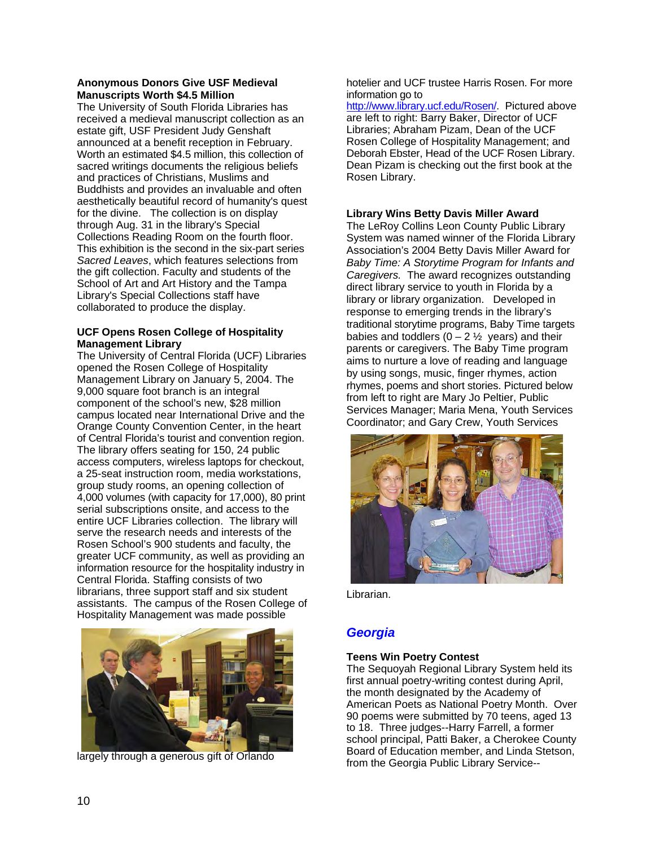### **Anonymous Donors Give USF Medieval Manuscripts Worth \$4.5 Million**

The University of South Florida Libraries has received a medieval manuscript collection as an estate gift, USF President Judy Genshaft announced at a benefit reception in February. Worth an estimated \$4.5 million, this collection of sacred writings documents the religious beliefs and practices of Christians, Muslims and Buddhists and provides an invaluable and often aesthetically beautiful record of humanity's quest for the divine. The collection is on display through Aug. 31 in the library's Special Collections Reading Room on the fourth floor. This exhibition is the second in the six-part series *Sacred Leaves*, which features selections from the gift collection. Faculty and students of the School of Art and Art History and the Tampa Library's Special Collections staff have collaborated to produce the display.

### **UCF Opens Rosen College of Hospitality Management Library**

The University of Central Florida (UCF) Libraries opened the Rosen College of Hospitality Management Library on January 5, 2004. The 9,000 square foot branch is an integral component of the school's new, \$28 million campus located near International Drive and the Orange County Convention Center, in the heart of Central Florida's tourist and convention region. The library offers seating for 150, 24 public access computers, wireless laptops for checkout, a 25-seat instruction room, media workstations, group study rooms, an opening collection of 4,000 volumes (with capacity for 17,000), 80 print serial subscriptions onsite, and access to the entire UCF Libraries collection. The library will serve the research needs and interests of the Rosen School's 900 students and faculty, the greater UCF community, as well as providing an information resource for the hospitality industry in Central Florida. Staffing consists of two librarians, three support staff and six student assistants. The campus of the Rosen College of Hospitality Management was made possible



largely through a generous gift of Orlando

hotelier and UCF trustee Harris Rosen. For more information go to

<http://www.library.ucf.edu/Rosen/>. Pictured above are left to right: Barry Baker, Director of UCF Libraries; Abraham Pizam, Dean of the UCF Rosen College of Hospitality Management; and Deborah Ebster, Head of the UCF Rosen Library. Dean Pizam is checking out the first book at the Rosen Library.

### **Library Wins Betty Davis Miller Award**

The LeRoy Collins Leon County Public Library System was named winner of the Florida Library Association's 2004 Betty Davis Miller Award for *Baby Time: A Storytime Program for Infants and Caregivers.* The award recognizes outstanding direct library service to youth in Florida by a library or library organization. Developed in response to emerging trends in the library's traditional storytime programs, Baby Time targets babies and toddlers  $(0 - 2 \frac{1}{2})$  years) and their parents or caregivers. The Baby Time program aims to nurture a love of reading and language by using songs, music, finger rhymes, action rhymes, poems and short stories. Pictured below from left to right are Mary Jo Peltier, Public Services Manager; Maria Mena, Youth Services Coordinator; and Gary Crew, Youth Services



Librarian.

# *Georgia*

# **Teens Win Poetry Contest**

The Sequoyah Regional Library System held its first annual poetry-writing contest during April, the month designated by the Academy of American Poets as National Poetry Month. Over 90 poems were submitted by 70 teens, aged 13 to 18. Three judges--Harry Farrell, a former school principal, Patti Baker, a Cherokee County Board of Education member, and Linda Stetson, from the Georgia Public Library Service--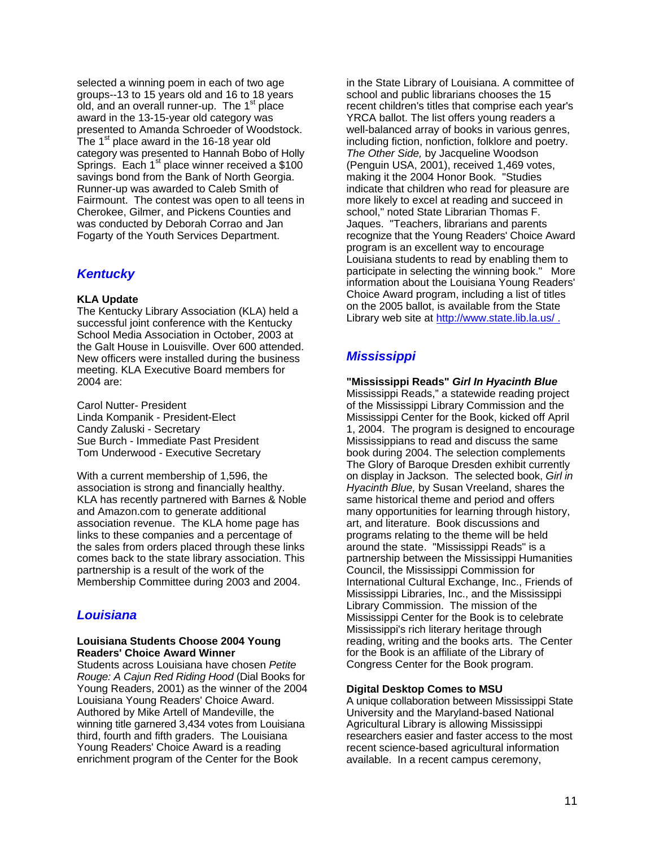selected a winning poem in each of two age groups--13 to 15 years old and 16 to 18 years old, and an overall runner-up. The  $1<sup>st</sup>$  place award in the 13-15-year old category was presented to Amanda Schroeder of Woodstock. The  $1<sup>st</sup>$  place award in the 16-18 year old category was presented to Hannah Bobo of Holly Springs. Each  $1<sup>st</sup>$  place winner received a \$100 savings bond from the Bank of North Georgia. Runner-up was awarded to Caleb Smith of Fairmount. The contest was open to all teens in Cherokee, Gilmer, and Pickens Counties and was conducted by Deborah Corrao and Jan Fogarty of the Youth Services Department.

# *Kentucky*

### **KLA Update**

The Kentucky Library Association (KLA) held a successful joint conference with the Kentucky School Media Association in October, 2003 at the Galt House in Louisville. Over 600 attended. New officers were installed during the business meeting. KLA Executive Board members for 2004 are:

Carol Nutter- President Linda Kompanik - President-Elect Candy Zaluski - Secretary Sue Burch - Immediate Past President Tom Underwood - Executive Secretary

With a current membership of 1,596, the association is strong and financially healthy. KLA has recently partnered with Barnes & Noble and Amazon.com to generate additional association revenue. The KLA home page has links to these companies and a percentage of the sales from orders placed through these links comes back to the state library association. This partnership is a result of the work of the Membership Committee during 2003 and 2004.

# *Louisiana*

### **Louisiana Students Choose 2004 Young Readers' Choice Award Winner**

Students across Louisiana have chosen *Petite Rouge: A Cajun Red Riding Hood* (Dial Books for Young Readers, 2001) as the winner of the 2004 Louisiana Young Readers' Choice Award. Authored by Mike Artell of Mandeville, the winning title garnered 3,434 votes from Louisiana third, fourth and fifth graders. The Louisiana Young Readers' Choice Award is a reading enrichment program of the Center for the Book

in the State Library of Louisiana. A committee of school and public librarians chooses the 15 recent children's titles that comprise each year's YRCA ballot. The list offers young readers a well-balanced array of books in various genres, including fiction, nonfiction, folklore and poetry. *The Other Side,* by Jacqueline Woodson (Penguin USA, 2001), received 1,469 votes, making it the 2004 Honor Book. "Studies indicate that children who read for pleasure are more likely to excel at reading and succeed in school," noted State Librarian Thomas F. Jaques. "Teachers, librarians and parents recognize that the Young Readers' Choice Award program is an excellent way to encourage Louisiana students to read by enabling them to participate in selecting the winning book." More information about the Louisiana Young Readers' Choice Award program, including a list of titles on the 2005 ballot, is available from the State Library web site at http://www.state.lib.la.us/.

# *Mississippi*

#### **"Mississippi Reads"** *Girl In Hyacinth Blue* Mississippi Reads," a statewide reading project of the Mississippi Library Commission and the Mississippi Center for the Book, kicked off April 1, 2004. The program is designed to encourage Mississippians to read and discuss the same book during 2004. The selection complements The Glory of Baroque Dresden exhibit currently on display in Jackson. The selected book, *Girl in Hyacinth Blue,* by Susan Vreeland, shares the same historical theme and period and offers many opportunities for learning through history, art, and literature. Book discussions and programs relating to the theme will be held around the state. "Mississippi Reads" is a partnership between the Mississippi Humanities Council, the Mississippi Commission for International Cultural Exchange, Inc., Friends of Mississippi Libraries, Inc., and the Mississippi Library Commission. The mission of the Mississippi Center for the Book is to celebrate Mississippi's rich literary heritage through reading, writing and the books arts. The Center for the Book is an affiliate of the Library of Congress Center for the Book program.

### **Digital Desktop Comes to MSU**

A unique collaboration between Mississippi State University and the Maryland-based National Agricultural Library is allowing Mississippi researchers easier and faster access to the most recent science-based agricultural information available. In a recent campus ceremony,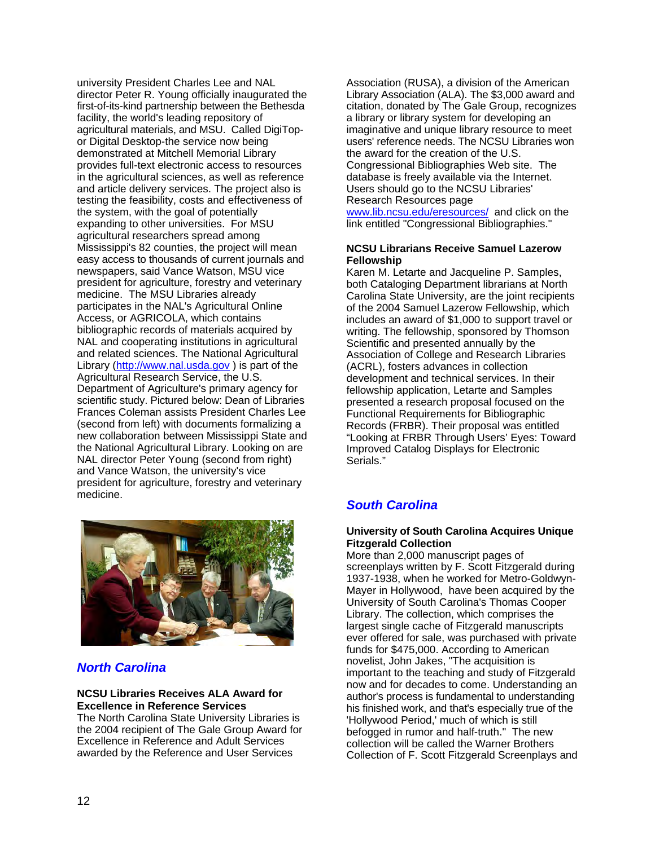university President Charles Lee and NAL director Peter R. Young officially inaugurated the first-of-its-kind partnership between the Bethesda facility, the world's leading repository of agricultural materials, and MSU. Called DigiTopor Digital Desktop-the service now being demonstrated at Mitchell Memorial Library provides full-text electronic access to resources in the agricultural sciences, as well as reference and article delivery services. The project also is testing the feasibility, costs and effectiveness of the system, with the goal of potentially expanding to other universities. For MSU agricultural researchers spread among Mississippi's 82 counties, the project will mean easy access to thousands of current journals and newspapers, said Vance Watson, MSU vice president for agriculture, forestry and veterinary medicine. The MSU Libraries already participates in the NAL's Agricultural Online Access, or AGRICOLA, which contains bibliographic records of materials acquired by NAL and cooperating institutions in agricultural and related sciences. The National Agricultural Library ([http://www.nal.usda.gov](http://www.nal.usda.gov/) ) is part of the Agricultural Research Service, the U.S. Department of Agriculture's primary agency for scientific study. Pictured below: Dean of Libraries Frances Coleman assists President Charles Lee (second from left) with documents formalizing a new collaboration between Mississippi State and the National Agricultural Library. Looking on are NAL director Peter Young (second from right) and Vance Watson, the university's vice president for agriculture, forestry and veterinary medicine.



# *North Carolina*

#### **NCSU Libraries Receives ALA Award for Excellence in Reference Services**

The North Carolina State University Libraries is the 2004 recipient of The Gale Group Award for Excellence in Reference and Adult Services awarded by the Reference and User Services

Association (RUSA), a division of the American Library Association (ALA). The \$3,000 award and citation, donated by The Gale Group, recognizes a library or library system for developing an imaginative and unique library resource to meet users' reference needs. The NCSU Libraries won the award for the creation of the U.S. Congressional Bibliographies Web site. The database is freely available via the Internet. Users should go to the NCSU Libraries' Research Resources page

[www.lib.ncsu.edu/eresources/](http://www.lib.ncsu.edu/eresources/) and click on the link entitled "Congressional Bibliographies."

### **NCSU Librarians Receive Samuel Lazerow Fellowship**

Karen M. Letarte and Jacqueline P. Samples, both Cataloging Department librarians at North Carolina State University, are the joint recipients of the 2004 Samuel Lazerow Fellowship, which includes an award of \$1,000 to support travel or writing. The fellowship, sponsored by Thomson Scientific and presented annually by the Association of College and Research Libraries (ACRL), fosters advances in collection development and technical services. In their fellowship application, Letarte and Samples presented a research proposal focused on the Functional Requirements for Bibliographic Records (FRBR). Their proposal was entitled "Looking at FRBR Through Users' Eyes: Toward Improved Catalog Displays for Electronic Serials."

# *South Carolina*

### **University of South Carolina Acquires Unique Fitzgerald Collection**

More than 2,000 manuscript pages of screenplays written by F. Scott Fitzgerald during 1937-1938, when he worked for Metro-Goldwyn-Mayer in Hollywood, have been acquired by the University of South Carolina's Thomas Cooper Library. The collection, which comprises the largest single cache of Fitzgerald manuscripts ever offered for sale, was purchased with private funds for \$475,000. According to American novelist, John Jakes, "The acquisition is important to the teaching and study of Fitzgerald now and for decades to come. Understanding an author's process is fundamental to understanding his finished work, and that's especially true of the 'Hollywood Period,' much of which is still befogged in rumor and half-truth." The new collection will be called the Warner Brothers Collection of F. Scott Fitzgerald Screenplays and